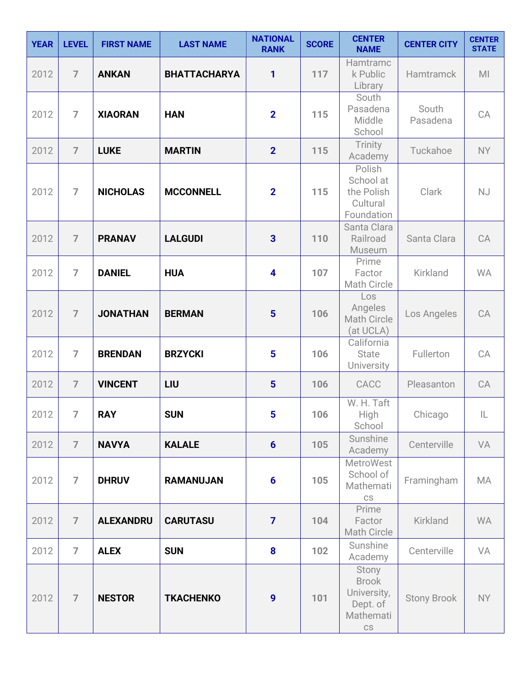| <b>YEAR</b> | <b>LEVEL</b>   | <b>FIRST NAME</b> | <b>LAST NAME</b>    | <b>NATIONAL</b><br><b>RANK</b> | <b>SCORE</b> | <b>CENTER</b><br><b>NAME</b>                                                            | <b>CENTER CITY</b> | <b>CENTER</b><br><b>STATE</b> |
|-------------|----------------|-------------------|---------------------|--------------------------------|--------------|-----------------------------------------------------------------------------------------|--------------------|-------------------------------|
| 2012        | $\overline{7}$ | <b>ANKAN</b>      | <b>BHATTACHARYA</b> | 1                              | 117          | Hamtramc<br>k Public<br>Library                                                         | Hamtramck          | M <sub>l</sub>                |
| 2012        | $\overline{7}$ | <b>XIAORAN</b>    | <b>HAN</b>          | $\overline{2}$                 | 115          | South<br>Pasadena<br>Middle<br>School                                                   | South<br>Pasadena  | CA                            |
| 2012        | $\overline{7}$ | <b>LUKE</b>       | <b>MARTIN</b>       | $\overline{2}$                 | 115          | Trinity<br>Academy                                                                      | Tuckahoe           | <b>NY</b>                     |
| 2012        | $\overline{7}$ | <b>NICHOLAS</b>   | <b>MCCONNELL</b>    | $\overline{2}$                 | 115          | Polish<br>School at<br>the Polish<br>Cultural<br>Foundation                             | Clark              | NJ                            |
| 2012        | $\overline{7}$ | <b>PRANAV</b>     | <b>LALGUDI</b>      | $\overline{\mathbf{3}}$        | 110          | Santa Clara<br>Railroad<br>Museum                                                       | Santa Clara        | CA                            |
| 2012        | $\overline{7}$ | <b>DANIEL</b>     | <b>HUA</b>          | $\overline{\mathbf{4}}$        | 107          | Prime<br>Factor<br><b>Math Circle</b>                                                   | Kirkland           | <b>WA</b>                     |
| 2012        | $\overline{7}$ | <b>JONATHAN</b>   | <b>BERMAN</b>       | 5                              | 106          | Los<br>Angeles<br><b>Math Circle</b><br>(at UCLA)                                       | Los Angeles        | CA                            |
| 2012        | $\overline{7}$ | <b>BRENDAN</b>    | <b>BRZYCKI</b>      | 5                              | 106          | California<br><b>State</b><br>University                                                | Fullerton          | CA                            |
| 2012        | $\overline{7}$ | <b>VINCENT</b>    | LIU                 | $5\phantom{1}$                 | 106          | CACC                                                                                    | Pleasanton         | CA                            |
| 2012        | $\overline{7}$ | <b>RAY</b>        | <b>SUN</b>          | 5                              | 106          | W. H. Taft<br>High<br>School                                                            | Chicago            | IL                            |
| 2012        | $\overline{7}$ | <b>NAVYA</b>      | <b>KALALE</b>       | $6\phantom{1}6$                | 105          | Sunshine<br>Academy                                                                     | Centerville        | VA                            |
| 2012        | $\overline{7}$ | <b>DHRUV</b>      | <b>RAMANUJAN</b>    | $6\phantom{1}6$                | 105          | <b>MetroWest</b><br>School of<br>Mathemati<br>$\mathbb{C}\mathbb{S}$                    | Framingham         | MA                            |
| 2012        | $\overline{7}$ | <b>ALEXANDRU</b>  | <b>CARUTASU</b>     | $\overline{7}$                 | 104          | Prime<br>Factor<br>Math Circle                                                          | Kirkland           | <b>WA</b>                     |
| 2012        | $\overline{7}$ | <b>ALEX</b>       | <b>SUN</b>          | 8                              | 102          | Sunshine<br>Academy                                                                     | Centerville        | VA                            |
| 2012        | $\overline{7}$ | <b>NESTOR</b>     | <b>TKACHENKO</b>    | 9                              | 101          | Stony<br><b>Brook</b><br>University,<br>Dept. of<br>Mathemati<br>$\mathbb{C}\mathbb{S}$ | <b>Stony Brook</b> | <b>NY</b>                     |